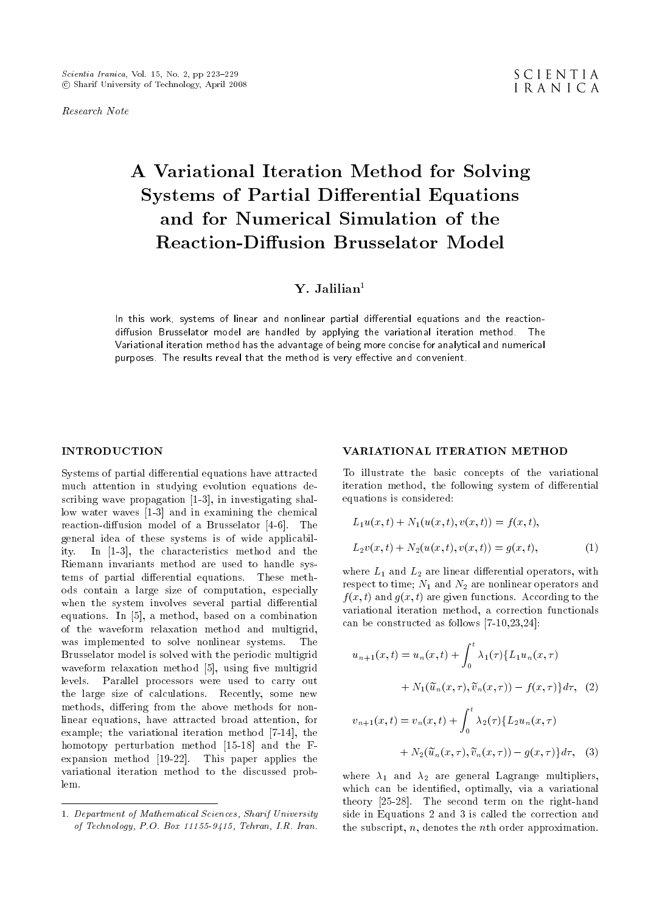Research Note

# A Variational Iteration Method for Solving Systems of Partial Differential Equations and for Numerical Simulation of the Reaction-Diffusion Brusselator Model

## Y. Jalilian<sup>1</sup>

In this work, systems of linear and nonlinear partial differential equations and the reactiondiffusion Brusselator model are handled by applying the variational iteration method. The Variational iteration method has the advantage of being more concise for analytical and numerical purposes. The results reveal that the method is very effective and convenient.

## INTRODUCTION

Systems of partial differential equations have attracted much attention in studying evolution equations describing wave propagation [1-3], in investigating shallow water waves [1-3] and in examining the chemical reaction-diffusion model of a Brusselator  $[4-6]$ . The general idea of these systems is of wide applicability. In [1-3], the characteristics method and the Riemann invariants method are used to handle systems of partial differential equations. These methods contain a large size of computation, especially when the system involves several partial differential equations. In [5], a method, based on a combination of the waveform relaxation method and multigrid, was implemented to solve nonlinear systems. The Brusselator model is solved with the periodic multigrid waveform relaxation method [5], using five multigrid levels. Parallel processors were used to carry out the large size of calculations. Recently, some new methods, differing from the above methods for nonlinear equations, have attracted broad attention, for example; the variational iteration method [7-14], the homotopy perturbation method [15-18] and the Fexpansion method [19-22]. This paper applies the variational iteration method to the discussed problem.

## VARIATIONAL ITERATION METHOD

To illustrate the basic concepts of the variational iteration method, the following system of differential equations is considered:

$$
L_1 u(x, t) + N_1(u(x, t), v(x, t)) = f(x, t),
$$
  
\n
$$
L_2 v(x, t) + N_2(u(x, t), v(x, t)) = g(x, t),
$$
\n(1)

where  $L_1$  and  $L_2$  are linear differential operators, with respect to time;  $N_1$  and  $N_2$  are nonlinear operators and  $f(x, t)$  and  $g(x, t)$  are given functions. According to the variational iteration method, a correction functionals can be constructed as follows [7-10,23,24]:

$$
u_{n+1}(x,t) = u_n(x,t) + \int_0^t \lambda_1(\tau) \{ L_1 u_n(x,\tau) + N_1(\widetilde{u}_n(x,\tau), \widetilde{v}_n(x,\tau)) - f(x,\tau) \} d\tau, \tag{2}
$$

$$
v_{n+1}(x,t) = v_n(x,t) + \int_0^t \lambda_2(\tau) \{ L_2 u_n(x,\tau)
$$

$$
+ N_2(\widetilde{u}_n(x,\tau), \widetilde{v}_n(x,\tau)) - g(x,\tau) \} d\tau, \quad (3)
$$

where  $\lambda_1$  and  $\lambda_2$  are general Lagrange multipliers, which can be identied, optimally, via a variational theory [25-28]. The second term on the right-hand side in Equations 2 and 3 is called the correction and the subscript, n, denotes the nth order approximation.

<sup>1.</sup> Department of Mathematical Sciences, Sharif University of Technology, P.O. Box 11155-9415, Tehran, I.R. Iran.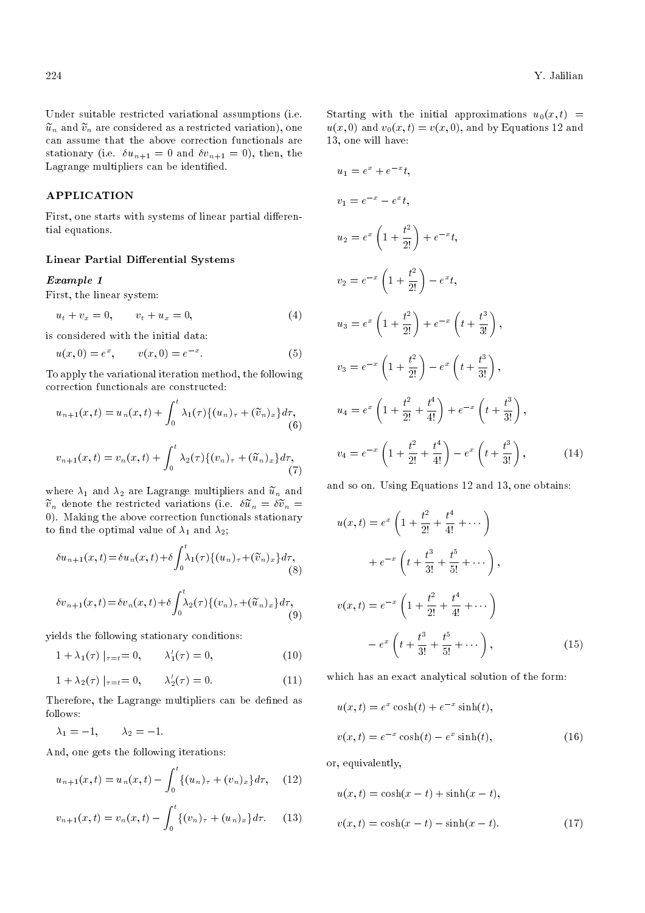Under suitable restricted variational assumptions (i.e.  $\tilde{u}_n$  and  $\tilde{v}_n$  are considered as a restricted variation), one can assume that the above correction functionals are stationary (i.e.  $\delta u_{n+1} = 0$  and  $\delta v_{n+1} = 0$ ), then, the Lagrange multipliers can be identied.

## APPLICATION

First, one starts with systems of linear partial differential equations.

## Linear Partial Differential Systems

## Example 1

First, the linear system:

$$
u_t + v_x = 0, \t v_t + u_x = 0,
$$
\t(4)

is considered with the initial data:

$$
u(x,0) = e^x, \qquad v(x,0) = e^{-x}.
$$
 (5)

To apply the variational iteration method, the following correction functionals are constructed:

$$
u_{n+1}(x,t) = u_n(x,t) + \int_0^t \lambda_1(\tau) \{(u_n)_{\tau} + (\widetilde{v}_n)_x\} d\tau,
$$
  
(6)  

$$
v_{n+1}(x,t) = v_n(x,t) + \int_0^t \lambda_2(\tau) \{(v_n)_{\tau} + (\widetilde{u}_n)_x\} d\tau,
$$
  
(7)

where  $\lambda_1$  and  $\lambda_2$  are Lagrange multipliers and  $\tilde{u}_n$  and  $\tilde{v}_n$  denote the restricted variations (i.e.  $\delta \tilde{u}_n = \delta \tilde{v}_n =$ 0). Making the above correction functionals stationary to find the optimal value of  $\lambda_1$  and  $\lambda_2$ ;

$$
\delta u_{n+1}(x,t) = \delta u_n(x,t) + \delta \int_0^t \lambda_1(\tau) \{ (u_n)_\tau + (\widetilde{v}_n)_x \} d\tau,
$$
\n(8)

$$
\delta v_{n+1}(x,t) = \delta v_n(x,t) + \delta \int_0^t \lambda_2(\tau) \{ (v_n)_\tau + (\widetilde{u}_n)_x \} d\tau,
$$
\n(9)

yields the following stationary conditions:

$$
1 + \lambda_1(\tau) |_{\tau = t} = 0, \qquad \lambda'_1(\tau) = 0,
$$
 (10)

$$
1 + \lambda_2(\tau) |_{\tau = t} = 0, \qquad \lambda'_2(\tau) = 0.
$$
 (11)

Therefore, the Lagrange multipliers can be defined as follows:

 $\lambda_1 = -1, \qquad \lambda_2 = -1.$ 

And, one gets the following iterations:

$$
u_{n+1}(x,t) = u_n(x,t) - \int_0^t \{(u_n)_\tau + (v_n)_x\} d\tau, \quad (12)
$$

$$
v_{n+1}(x,t) = v_n(x,t) - \int_0^t \{(v_n)_{\tau} + (u_n)_x\} d\tau.
$$
 (13)

Starting with the initial approximations  $u_0(x,t)$  =  $u(x, 0)$  and  $v_0(x, t) = v(x, 0)$ , and by Equations 12 and 13, one will have:

$$
u_1 = e^x + e^{-x}t,
$$
  
\n
$$
v_1 = e^{-x} - e^x t,
$$
  
\n
$$
u_2 = e^x \left(1 + \frac{t^2}{2!}\right) + e^{-x}t,
$$
  
\n
$$
v_2 = e^{-x} \left(1 + \frac{t^2}{2!}\right) - e^x t,
$$
  
\n
$$
u_3 = e^x \left(1 + \frac{t^2}{2!}\right) + e^{-x} \left(t + \frac{t^3}{3!}\right),
$$
  
\n
$$
v_3 = e^{-x} \left(1 + \frac{t^2}{2!}\right) - e^x \left(t + \frac{t^3}{3!}\right),
$$
  
\n
$$
u_4 = e^x \left(1 + \frac{t^2}{2!} + \frac{t^4}{4!}\right) + e^{-x} \left(t + \frac{t^3}{3!}\right),
$$
  
\n
$$
v_4 = e^{-x} \left(1 + \frac{t^2}{2!} + \frac{t^4}{4!}\right) - e^x \left(t + \frac{t^3}{3!}\right),
$$
  
\n(14)

and so on. Using Equations 12 and 13, one obtains:

$$
u(x,t) = e^x \left( 1 + \frac{t^2}{2!} + \frac{t^4}{4!} + \cdots \right)
$$
  
+ 
$$
e^{-x} \left( t + \frac{t^3}{3!} + \frac{t^5}{5!} + \cdots \right),
$$
  

$$
v(x,t) = e^{-x} \left( 1 + \frac{t^2}{2!} + \frac{t^4}{4!} + \cdots \right)
$$
  
- 
$$
e^x \left( t + \frac{t^3}{3!} + \frac{t^5}{5!} + \cdots \right),
$$
 (15)

which has an exact analytical solution of the form:

$$
u(x,t) = e^x \cosh(t) + e^{-x} \sinh(t),
$$
  

$$
v(x,t) = e^{-x} \cosh(t) - e^x \sinh(t),
$$
 (16)

or, equivalently,

$$
u(x,t) = \cosh(x-t) + \sinh(x-t),
$$
  

$$
v(x,t) = \cosh(x-t) - \sinh(x-t).
$$
 (17)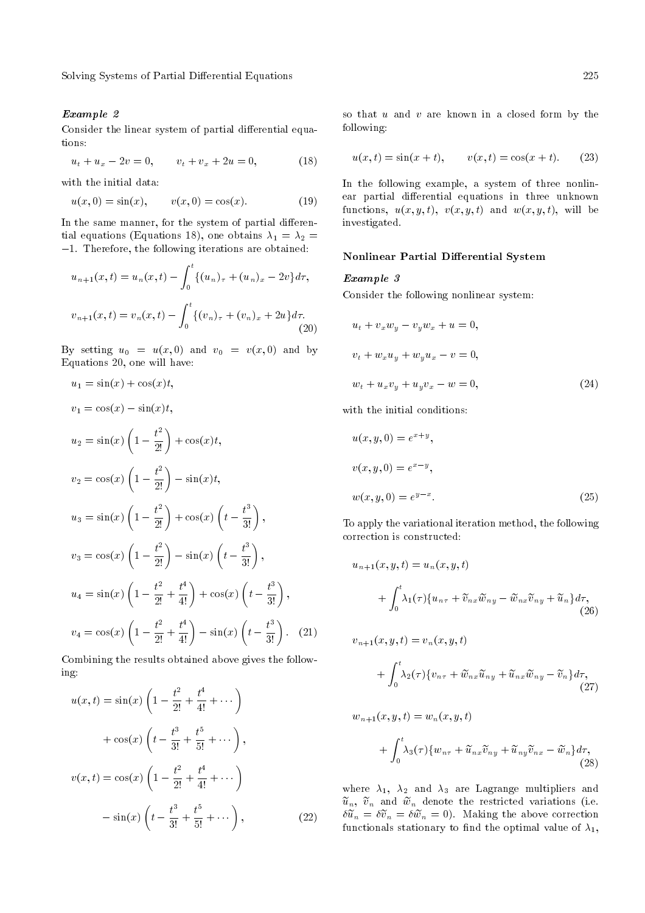Solving Systems of Partial Differential Equations 225

## Example 2

Consider the linear system of partial differential equations:

$$
u_t + u_x - 2v = 0, \qquad v_t + v_x + 2u = 0,\tag{18}
$$

with the initial data:

$$
u(x,0) = \sin(x), \qquad v(x,0) = \cos(x). \tag{19}
$$

In the same manner, for the system of partial differential equations (Equations 18), one obtains  $\lambda_1 = \lambda_2 =$  $-1$ . Therefore, the following iterations are obtained:

$$
u_{n+1}(x,t) = u_n(x,t) - \int_0^t \{(u_n)_\tau + (u_n)_x - 2v\} d\tau,
$$
  

$$
v_{n+1}(x,t) = v_n(x,t) - \int_0^t \{(v_n)_\tau + (v_n)_x + 2u\} d\tau.
$$
 (20)

By setting  $u_0 = u(x, 0)$  and  $v_0 = v(x, 0)$  and by Equations 20, one will have:

$$
u_1 = \sin(x) + \cos(x)t,
$$
  
\n
$$
v_1 = \cos(x) - \sin(x)t,
$$
  
\n
$$
u_2 = \sin(x) \left(1 - \frac{t^2}{2!}\right) + \cos(x)t,
$$
  
\n
$$
v_2 = \cos(x) \left(1 - \frac{t^2}{2!}\right) - \sin(x)t,
$$
  
\n
$$
u_3 = \sin(x) \left(1 - \frac{t^2}{2!}\right) + \cos(x) \left(t - \frac{t^3}{3!}\right),
$$
  
\n
$$
v_3 = \cos(x) \left(1 - \frac{t^2}{2!}\right) - \sin(x) \left(t - \frac{t^3}{3!}\right),
$$
  
\n
$$
u_4 = \sin(x) \left(1 - \frac{t^2}{2!} + \frac{t^4}{4!}\right) + \cos(x) \left(t - \frac{t^3}{3!}\right),
$$
  
\n
$$
v_4 = \cos(x) \left(1 - \frac{t^2}{2!} + \frac{t^4}{4!}\right) - \sin(x) \left(t - \frac{t^3}{3!}\right).
$$
 (21)

Combining the results obtained above gives the following:

$$
u(x,t) = \sin(x) \left( 1 - \frac{t^2}{2!} + \frac{t^4}{4!} + \cdots \right)
$$
  
+  $\cos(x) \left( t - \frac{t^3}{3!} + \frac{t^5}{5!} + \cdots \right)$ ,  

$$
v(x,t) = \cos(x) \left( 1 - \frac{t^2}{2!} + \frac{t^4}{4!} + \cdots \right)
$$
  
-  $\sin(x) \left( t - \frac{t^3}{3!} + \frac{t^5}{5!} + \cdots \right)$ , (22)

so that  $u$  and  $v$  are known in a closed form by the following:

$$
u(x,t) = \sin(x+t), \qquad v(x,t) = \cos(x+t). \tag{23}
$$

In the following example, a system of three nonlinear partial differential equations in three unknown functions,  $u(x, y, t)$ ,  $v(x, y, t)$  and  $w(x, y, t)$ , will be investigated.

## Nonlinear Partial Differential System

#### Example 3

Consider the following nonlinear system:

$$
ut + vxwy - vywx + u = 0,
$$
  

$$
vt + wxuy + wyux - v = 0,
$$
  

$$
wt + uxvy + uyvx - w = 0,
$$
 (24)

with the initial conditions:

$$
u(x, y, 0) = e^{x+y},
$$
  
\n
$$
v(x, y, 0) = e^{x-y},
$$
  
\n
$$
w(x, y, 0) = e^{y-x}.
$$
\n(25)

To apply the variational iteration method, the following correction is constructed:

$$
u_{n+1}(x, y, t) = u_n(x, y, t)
$$
  
+ 
$$
\int_0^t \lambda_1(\tau) \{u_{n\tau} + \widetilde{v}_{nx}\widetilde{w}_{ny} - \widetilde{w}_{nx}\widetilde{v}_{ny} + \widetilde{u}_n\} d\tau,
$$
  
(26)

$$
v_{n+1}(x, y, t) = v_n(x, y, t)
$$
  
+ 
$$
\int_0^t \lambda_2(\tau) \{v_{n\tau} + \widetilde{w}_{nx}\widetilde{u}_{ny} + \widetilde{u}_{nx}\widetilde{w}_{ny} - \widetilde{v}_n\} d\tau,
$$
(27)

$$
w_{n+1}(x, y, t) = w_n(x, y, t)
$$
  
+ 
$$
\int_0^t \lambda_3(\tau) \{w_{n\tau} + \tilde{u}_{nx}\tilde{v}_{ny} + \tilde{u}_{ny}\tilde{v}_{nx} - \tilde{w}_n\} d\tau,
$$
\n(28)

where  $\lambda_1$ ,  $\lambda_2$  and  $\lambda_3$  are Lagrange multipliers and  $\tilde{u}_n$ ,  $\tilde{v}_n$  and  $\tilde{w}_n$  denote the restricted variations (i.e.  $\delta \tilde{u}_n = \delta \tilde{v}_n = \delta \tilde{w}_n = 0$ . Making the above correction functionals stationary to find the optimal value of  $\lambda_1$ ,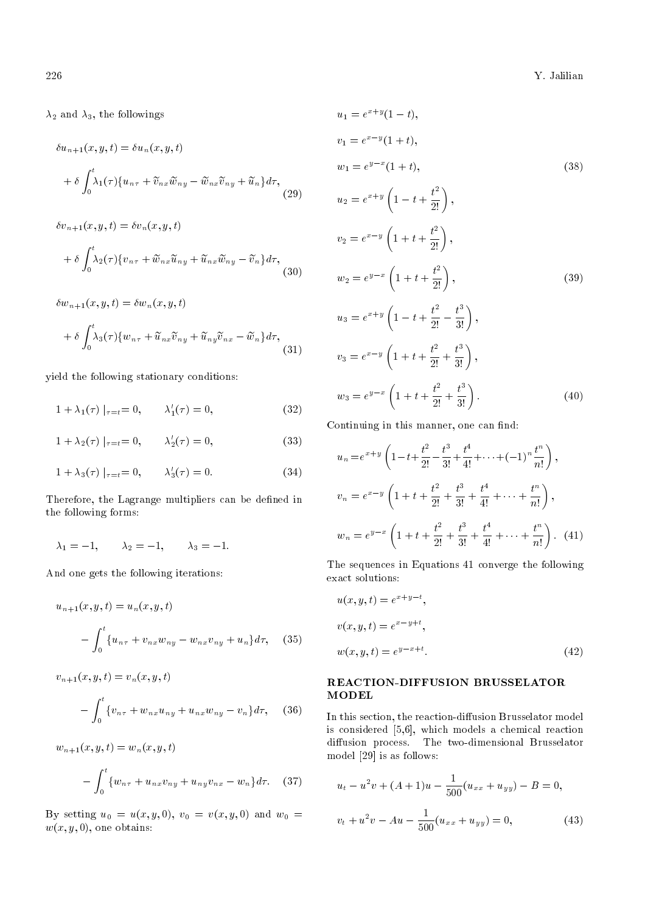$\lambda_2$  and  $\lambda_3$ , the followings

$$
\delta u_{n+1}(x, y, t) = \delta u_n(x, y, t)
$$

$$
+ \delta \int_0^t \lambda_1(\tau) \{ u_{n\tau} + \tilde{v}_{nx} \tilde{w}_{ny} - \tilde{w}_{nx} \tilde{v}_{ny} + \tilde{u}_n \} d\tau,
$$
(29)

$$
\delta v_{n+1}(x, y, t) = \delta v_n(x, y, t)
$$
  
+ 
$$
\delta \int_0^t \lambda_2(\tau) \{ v_{n\tau} + \tilde{w}_{nx} \tilde{u}_{ny} + \tilde{u}_{nx} \tilde{w}_{ny} - \tilde{v}_n \} d\tau,
$$
 (30)

 $\delta w_{n+1}(x, y, t) = \delta w_n(x, y, t)$ 

$$
+\delta \int_0^t \lambda_3(\tau) \{w_{n\tau} + \widetilde{u}_{nx}\widetilde{v}_{ny} + \widetilde{u}_{ny}\widetilde{v}_{nx} - \widetilde{w}_n\} d\tau, \tag{31}
$$

yield the following stationary conditions:

$$
1 + \lambda_1(\tau) \mid_{\tau = t} = 0, \qquad \lambda'_1(\tau) = 0,
$$
\n(32)

$$
1 + \lambda_2(\tau) |_{\tau = t} = 0, \qquad \lambda'_2(\tau) = 0,
$$
 (33)

$$
1 + \lambda_3(\tau) \mid_{\tau = t} = 0, \qquad \lambda'_3(\tau) = 0. \tag{34}
$$

Therefore, the Lagrange multipliers can be defined in the following forms:

$$
\lambda_1 = -1, \qquad \lambda_2 = -1, \qquad \lambda_3 = -1.
$$

And one gets the following iterations:

$$
u_{n+1}(x, y, t) = u_n(x, y, t)
$$

$$
- \int_0^t \{u_{n\tau} + v_{nx} w_{ny} - w_{nx} v_{ny} + u_n\} d\tau, \quad (35)
$$

$$
v_{n+1}(x, y, t) = v_n(x, y, t)
$$

$$
- \int_0^t \{v_{n\tau} + w_{nx}u_{ny} + u_{nx}w_{ny} - v_n\} d\tau, \quad (36)
$$

$$
w_{n+1}(x, y, t) = w_n(x, y, t)
$$

$$
- \int_0^t \{w_{n\tau} + u_{nx}v_{ny} + u_{ny}v_{nx} - w_n\}d\tau.
$$
 (37)

By setting  $u_0 = u(x, y, 0), v_0 = v(x, y, 0)$  and  $w_0 =$  $w(x, y, 0)$ , one obtains:

$$
u_1 = e^{x+y}(1-t),
$$
  
\n
$$
v_1 = e^{x-y}(1+t),
$$
  
\n
$$
w_1 = e^{y-x}(1+t),
$$
  
\n
$$
u_2 = e^{x+y}\left(1-t+\frac{t^2}{2!}\right),
$$
  
\n
$$
v_2 = e^{x-y}\left(1+t+\frac{t^2}{2!}\right),
$$
  
\n
$$
w_2 = e^{y-x}\left(1+t+\frac{t^2}{2!}\right),
$$
  
\n
$$
u_3 = e^{x+y}\left(1-t+\frac{t^2}{2!}-\frac{t^3}{3!}\right),
$$
  
\n
$$
v_3 = e^{x-y}\left(1+t+\frac{t^2}{2!}+\frac{t^3}{3!}\right),
$$
  
\n
$$
w_3 = e^{y-x}\left(1+t+\frac{t^2}{2!}+\frac{t^3}{3!}\right).
$$
  
\n(40)

Continuing in this manner, one can find:

$$
u_n = e^{x+y} \left( 1 - t + \frac{t^2}{2!} - \frac{t^3}{3!} + \frac{t^4}{4!} + \dots + (-1)^n \frac{t^n}{n!} \right),
$$
  
\n
$$
v_n = e^{x-y} \left( 1 + t + \frac{t^2}{2!} + \frac{t^3}{3!} + \frac{t^4}{4!} + \dots + \frac{t^n}{n!} \right),
$$
  
\n
$$
w_n = e^{y-x} \left( 1 + t + \frac{t^2}{2!} + \frac{t^3}{3!} + \frac{t^4}{4!} + \dots + \frac{t^n}{n!} \right). \quad (41)
$$

The sequences in Equations 41 converge the following exact solutions:

$$
u(x, y, t) = e^{x+y-t},
$$
  
\n
$$
v(x, y, t) = e^{x-y+t},
$$
  
\n
$$
w(x, y, t) = e^{y-x+t}.
$$
\n(42)

## REACTION-DIFFUSION BRUSSELATOR MODEL

In this section, the reaction-diffusion Brusselator model is considered [5,6], which models a chemical reaction diffusion process. The two-dimensional Brusselator model [29] is as follows:

$$
u_t - u^2 v + (A + 1)u - \frac{1}{500}(u_{xx} + u_{yy}) - B = 0,
$$
  

$$
v_t + u^2 v - Au - \frac{1}{500}(u_{xx} + u_{yy}) = 0,
$$
 (43)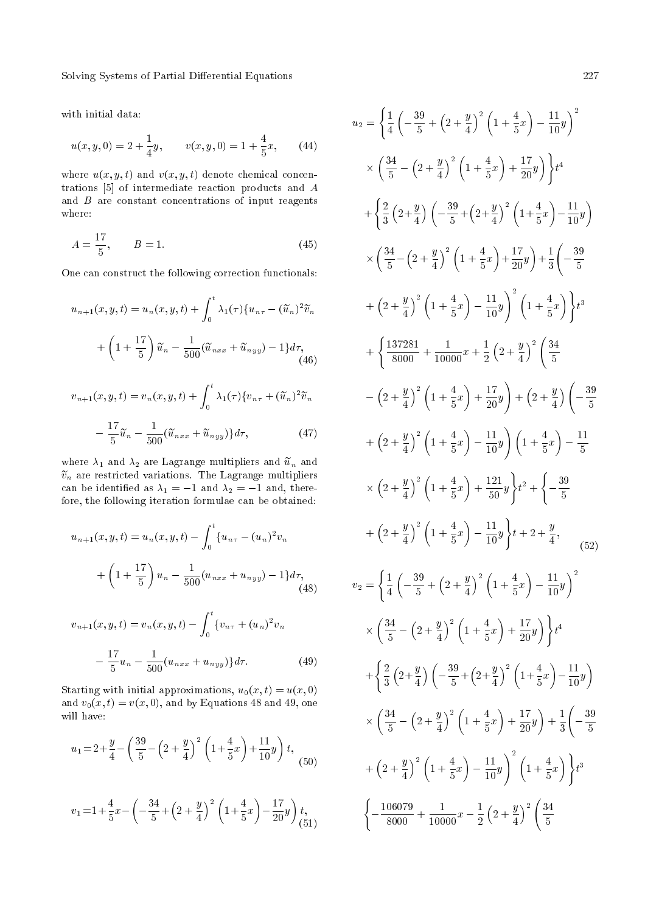Solving Systems of Partial Differential Equations 227

with initial data:

$$
u(x, y, 0) = 2 + \frac{1}{4}y, \qquad v(x, y, 0) = 1 + \frac{4}{5}x, \qquad (44)
$$

where  $u(x, y, t)$  and  $v(x, y, t)$  denote chemical concentrations [5] of intermediate reaction products and A and  $B$  are constant concentrations of input reagents where:

$$
A = \frac{17}{5}, \qquad B = 1. \tag{45}
$$

One can construct the following correction functionals:

$$
u_{n+1}(x, y, t) = u_n(x, y, t) + \int_0^t \lambda_1(\tau) \{u_{n\tau} - (\widetilde{u}_n)^2 \widetilde{v}_n + \left(1 + \frac{17}{5}\right) \widetilde{u}_n - \frac{1}{500} (\widetilde{u}_{nxx} + \widetilde{u}_{nyy}) - 1\} d\tau,
$$
\n(46)

$$
v_{n+1}(x, y, t) = v_n(x, y, t) + \int_0^t \lambda_1(\tau) \{v_{n\tau} + (\tilde{u}_n)^2 \tilde{v}_n
$$

$$
- \frac{17}{5} \tilde{u}_n - \frac{1}{500} (\tilde{u}_{nxx} + \tilde{u}_{nyy}) \} d\tau,
$$
(47)

where  $\lambda_1$  and  $\lambda_2$  are Lagrange multipliers and  $\tilde{u}_n$  and  $\widetilde{v}_n$  are restricted variations. The Lagrange multipliers can be identified as  $\lambda_1 = -1$  and  $\lambda_2 = -1$  and, therefore, the following iteration formulae can be obtained:

$$
u_{n+1}(x, y, t) = u_n(x, y, t) - \int_0^t \{u_{n\tau} - (u_n)^2 v_n
$$
  
+  $\left(1 + \frac{17}{5}\right) u_n - \frac{1}{500} (u_{nxx} + u_{nyy}) - 1\} d\tau,$  (48)

$$
v_{n+1}(x, y, t) = v_n(x, y, t) - \int_0^t \{v_{n\tau} + (u_n)^2 v_n
$$

$$
- \frac{17}{5} u_n - \frac{1}{500} (u_{nxx} + u_{nyy}) \} d\tau.
$$
 (49)

Starting with initial approximations,  $u_0(x, t) = u(x, 0)$ and  $v_0(x,t) = v(x,0)$ , and by Equations 48 and 49, one will have:

$$
u_1 = 2 + \frac{y}{4} - \left(\frac{39}{5} - \left(2 + \frac{y}{4}\right)^2 \left(1 + \frac{4}{5}x\right) + \frac{11}{10}y\right)t, \tag{50}
$$

$$
v_1 = 1 + \frac{4}{5}x - \left(-\frac{34}{5} + \left(2 + \frac{y}{4}\right)^2 \left(1 + \frac{4}{5}x\right) - \frac{17}{20}y\right)t, \tag{51}
$$

$$
u_2 = \left\{ \frac{1}{4} \left( -\frac{39}{5} + \left( 2 + \frac{y}{4} \right)^2 \left( 1 + \frac{4}{5} x \right) - \frac{11}{10} y \right)^2 \right. \\
\left. \times \left( \frac{34}{5} - \left( 2 + \frac{y}{4} \right)^2 \left( 1 + \frac{4}{5} x \right) + \frac{17}{20} y \right) \right\} t^4
$$
\n
$$
+ \left\{ \frac{2}{3} \left( 2 + \frac{y}{4} \right) \left( -\frac{39}{5} + \left( 2 + \frac{y}{4} \right)^2 \left( 1 + \frac{4}{5} x \right) - \frac{11}{10} y \right) \right. \\
\left. \times \left( \frac{34}{5} - \left( 2 + \frac{y}{4} \right)^2 \left( 1 + \frac{4}{5} x \right) + \frac{17}{20} y \right) + \frac{1}{3} \left( -\frac{39}{5} + \left( 2 + \frac{y}{4} \right)^2 \left( 1 + \frac{4}{5} x \right) - \frac{11}{10} y \right)^2 \left. \left( 1 + \frac{4}{5} x \right) \right\} t^3
$$
\n
$$
+ \left\{ \frac{137281}{8000} + \frac{1}{10000} x + \frac{1}{2} \left( 2 + \frac{y}{4} \right)^2 \left( \frac{34}{5} - \left( 2 + \frac{y}{4} \right)^2 \left( 1 + \frac{4}{5} x \right) + \frac{17}{20} y \right) + \left( 2 + \frac{y}{4} \right) \left( -\frac{39}{5} + \left( 2 + \frac{y}{4} \right)^2 \left( 1 + \frac{4}{5} x \right) - \frac{11}{10} y \right) \left( 1 + \frac{4}{5} x \right) - \frac{11}{5}
$$
\n
$$
\times \left( 2 + \frac{y}{4} \right)^2 \left( 1 + \frac{4}{5} x \right) - \frac{11}{10} y \right) \left( 1 + \frac{4}{5} x \right) - \frac{11}{5}
$$
\n
$$
\times \left( 2 + \frac{y}{4} \right
$$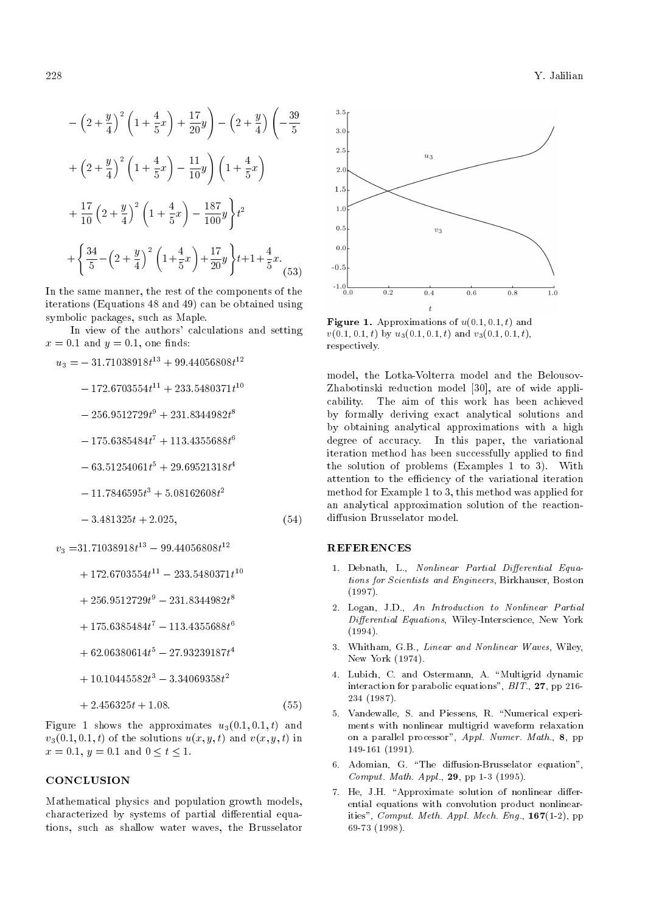$$
-\left(2+\frac{y}{4}\right)^2 \left(1+\frac{4}{5}x\right) + \frac{17}{20}y \left(-2+\frac{y}{4}\right) \left(-\frac{39}{5}\right)
$$

$$
+\left(2+\frac{y}{4}\right)^2 \left(1+\frac{4}{5}x\right) - \frac{11}{10}y \left(1+\frac{4}{5}x\right)
$$

$$
+\frac{17}{10} \left(2+\frac{y}{4}\right)^2 \left(1+\frac{4}{5}x\right) - \frac{187}{100}y \right)t^2
$$

$$
+\left\{\frac{34}{5} - \left(2+\frac{y}{4}\right)^2 \left(1+\frac{4}{5}x\right) + \frac{17}{20}y \right\} t + 1 + \frac{4}{5}x. \tag{53}
$$

In the same manner, the rest of the components of the iterations (Equations 48 and 49) can be obtained using symbolic packages, such as Maple.

In view of the authors' calculations and setting  $x = 0.1$  and  $y = 0.1$ , one finds:

$$
u_3 = -31.71038918t^{13} + 99.44056808t^{12}
$$
  
\n
$$
- 172.6703554t^{11} + 233.5480371t^{10}
$$
  
\n
$$
- 256.9512729t^9 + 231.8344982t^8
$$
  
\n
$$
- 175.6385484t^7 + 113.4355688t^6
$$
  
\n
$$
- 63.51254061t^5 + 29.69521318t^4
$$
  
\n
$$
- 11.7846595t^3 + 5.08162608t^2
$$
  
\n
$$
- 3.481325t + 2.025,
$$
  
\n
$$
v_3 = 31.71038918t^{13} - 99.44056808t^{12}
$$
  
\n
$$
+ 172.6703554t^{11} - 233.5480371t^{10}
$$
  
\n
$$
+ 256.9512729t^9 - 231.8344982t^8
$$
  
\n
$$
+ 175.6385484t^7 - 113.4355688t^6
$$

- $+62.06380614t^5 27.93239187t^4$
- $+10.10445582t^3 3.34069358t^2$

$$
+2.456325t+1.08.\t(55)
$$

Figure 1 shows the approximates  $u_3(0.1, 0.1, t)$  and  $v_3(0.1, 0.1, t)$  of the solutions  $u(x, y, t)$  and  $v(x, y, t)$  in  $x = 0.1$ ,  $y = 0.1$  and  $0 \le t \le 1$ .

#### **CONCLUSION**

Mathematical physics and population growth models, characterized by systems of partial differential equations, such as shallow water waves, the Brusselator



**Figure 1.** Approximations of  $u(0.1, 0.1, t)$  and  $v(0.1, 0.1, t)$  by  $u_3(0.1, 0.1, t)$  and  $v_3(0.1, 0.1, t)$ , respectively.

model, the Lotka-Volterra model and the Belousov-Zhabotinski reduction model [30], are of wide applicability. The aim of this work has been achieved by formally deriving exact analytical solutions and by obtaining analytical approximations with a high degree of accuracy. In this paper, the variational iteration method has been successfully applied to find the solution of problems (Examples 1 to 3). With attention to the efficiency of the variational iteration method for Example 1 to 3, this method was applied for an analytical approximation solution of the reactiondiffusion Brusselator model.

#### REFERENCES

- 1. Debnath, L., Nonlinear Partial Differential Equations for Scientists and Engineers, Birkhauser, Boston (1997).
- 2. Logan, J.D., An Introduction to Nonlinear Partial Differential Equations, Wiley-Interscience, New York (1994).
- 3. Whitham, G.B., Linear and Nonlinear Waves, Wiley, New York (1974).
- 4. Lubich, C. and Ostermann, A. "Multigrid dynamic interaction for parabolic equations",  $BIT.$ , 27, pp 216-234 (1987).
- 5. Vandewalle, S. and Piessens, R. "Numerical experiments with nonlinear multigrid waveform relaxation on a parallel processor", Appl. Numer. Math., 8, pp 149-161 (1991).
- 6. Adomian, G. "The diffusion-Brusselator equation", Comput. Math. Appl., 29, pp 1-3 (1995).
- 7. He, J.H. "Approximate solution of nonlinear differential equations with convolution product nonlinearities",  $Comput.$  Meth. Appl. Mech. Eng.,  $167(1-2)$ , pp 69-73 (1998).